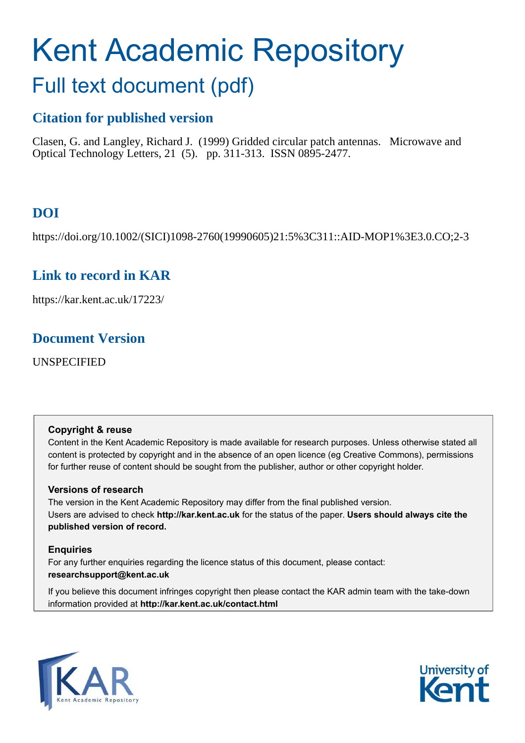# Kent Academic Repository

## Full text document (pdf)

## **Citation for published version**

Clasen, G. and Langley, Richard J. (1999) Gridded circular patch antennas. Microwave and Optical Technology Letters, 21 (5). pp. 311-313. ISSN 0895-2477.

## **DOI**

https://doi.org/10.1002/(SICI)1098-2760(19990605)21:5%3C311::AID-MOP1%3E3.0.CO;2-3

## **Link to record in KAR**

https://kar.kent.ac.uk/17223/

### **Document Version**

UNSPECIFIED

#### **Copyright & reuse**

Content in the Kent Academic Repository is made available for research purposes. Unless otherwise stated all content is protected by copyright and in the absence of an open licence (eg Creative Commons), permissions for further reuse of content should be sought from the publisher, author or other copyright holder.

#### **Versions of research**

The version in the Kent Academic Repository may differ from the final published version. Users are advised to check **http://kar.kent.ac.uk** for the status of the paper. **Users should always cite the published version of record.**

#### **Enquiries**

For any further enquiries regarding the licence status of this document, please contact: **researchsupport@kent.ac.uk**

If you believe this document infringes copyright then please contact the KAR admin team with the take-down information provided at **http://kar.kent.ac.uk/contact.html**



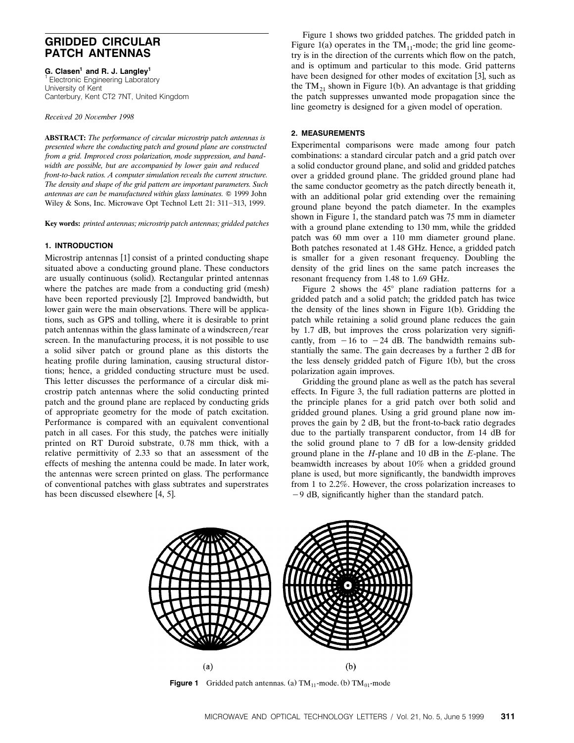#### **GRIDDED CIRCULAR PATCH ANTENNAS**

**G. Clasen<sup>1</sup> and R. J. Langley<sup>1</sup>** 1 Electronic Engineering Laboratory University of Kent Canterbury, Kent CT2 7NT, United Kingdom

*Recei*¨*ed 20 No*¨*ember 1998*

**ABSTRACT:** *The performance of circular microstrip patch antennas is presented where the conducting patch and ground plane are constructed from a grid. Improved cross polarization, mode suppression, and bandwidth are possible, but are accompanied by lower gain and reduced front-to-back ratios. A computer simulation reveals the current structure. The density and shape of the grid pattern are important parameters. Such antennas are can be manufactured within glass laminates.* Q 1999 John Wiley & Sons, Inc. Microwave Opt Technol Lett  $21: 311-313$ , 1999.

**Key words:** *printed antennas; microstrip patch antennas; gridded patches*

#### **1. INTRODUCTION**

Microstrip antennas [1] consist of a printed conducting shape situated above a conducting ground plane. These conductors are usually continuous (solid). Rectangular printed antennas where the patches are made from a conducting grid (mesh) have been reported previously [2]. Improved bandwidth, but lower gain were the main observations. There will be applications, such as GPS and tolling, where it is desirable to print patch antennas within the glass laminate of a windscreen/rear screen. In the manufacturing process, it is not possible to use a solid silver patch or ground plane as this distorts the heating profile during lamination, causing structural distortions; hence, a gridded conducting structure must be used. This letter discusses the performance of a circular disk microstrip patch antennas where the solid conducting printed patch and the ground plane are replaced by conducting grids of appropriate geometry for the mode of patch excitation. Performance is compared with an equivalent conventional patch in all cases. For this study, the patches were initially printed on RT Duroid substrate, 0.78 mm thick, with a relative permittivity of 2.33 so that an assessment of the effects of meshing the antenna could be made. In later work, the antennas were screen printed on glass. The performance of conventional patches with glass subtrates and superstrates has been discussed elsewhere [4, 5].

Figure 1 shows two gridded patches. The gridded patch in Figure 1(a) operates in the  $TM_{11}$ -mode; the grid line geometry is in the direction of the currents which flow on the patch, and is optimum and particular to this mode. Grid patterns have been designed for other modes of excitation [3], such as the TM<sub>21</sub> shown in Figure 1(b). An advantage is that gridding the patch suppresses unwanted mode propagation since the line geometry is designed for a given model of operation.

#### **2. MEASUREMENTS**

Experimental comparisons were made among four patch combinations: a standard circular patch and a grid patch over a solid conductor ground plane, and solid and gridded patches over a gridded ground plane. The gridded ground plane had the same conductor geometry as the patch directly beneath it, with an additional polar grid extending over the remaining ground plane beyond the patch diameter. In the examples shown in Figure 1, the standard patch was 75 mm in diameter with a ground plane extending to 130 mm, while the gridded patch was 60 mm over a 110 mm diameter ground plane. Both patches resonated at 1.48 GHz. Hence, a gridded patch is smaller for a given resonant frequency. Doubling the density of the grid lines on the same patch increases the resonant frequency from 1.48 to 1.69 GHz.

Figure 2 shows the  $45^{\circ}$  plane radiation patterns for a gridded patch and a solid patch; the gridded patch has twice the density of the lines shown in Figure 1(b). Gridding the patch while retaining a solid ground plane reduces the gain by 1.7 dB, but improves the cross polarization very significantly, from  $-16$  to  $-24$  dB. The bandwidth remains substantially the same. The gain decreases by a further 2 dB for the less densely gridded patch of Figure 1(b), but the cross polarization again improves.

Gridding the ground plane as well as the patch has several effects. In Figure 3, the full radiation patterns are plotted in the principle planes for a grid patch over both solid and gridded ground planes. Using a grid ground plane now improves the gain by 2 dB, but the front-to-back ratio degrades due to the partially transparent conductor, from 14 dB for the solid ground plane to 7 dB for a low-density gridded ground plane in the *H*-plane and 10 dB in the *E*-plane. The beamwidth increases by about 10% when a gridded ground plane is used, but more significantly, the bandwidth improves from 1 to 2.2%. However, the cross polarization increases to  $-9$  dB, significantly higher than the standard patch.



**Figure 1** Gridded patch antennas. (a)  $TM_{11}$ -mode. (b)  $TM_{01}$ -mode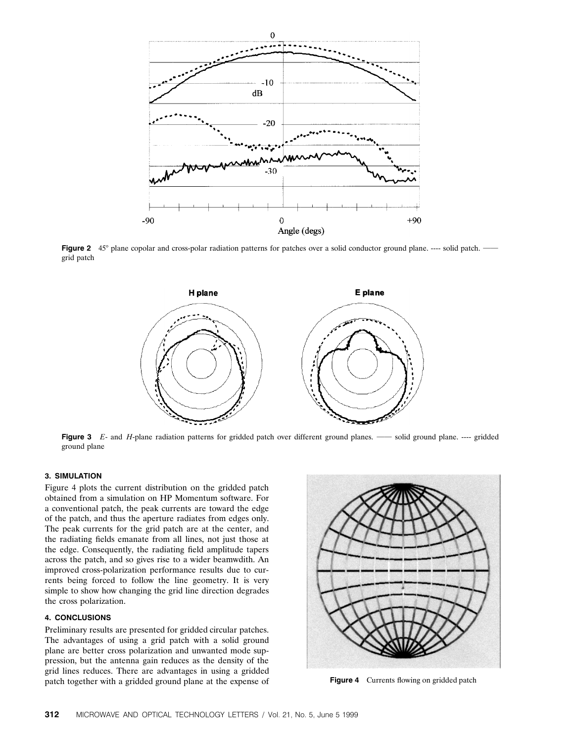

Figure 2 45° plane copolar and cross-polar radiation patterns for patches over a solid conductor ground plane. ---- solid patch.  $\cdot$ grid patch



**Figure 3** *E*- and *H*-plane radiation patterns for gridded patch over different ground planes. — solid ground plane. ---- gridded ground plane

#### **3. SIMULATION**

Figure 4 plots the current distribution on the gridded patch obtained from a simulation on HP Momentum software. For a conventional patch, the peak currents are toward the edge of the patch, and thus the aperture radiates from edges only. The peak currents for the grid patch are at the center, and the radiating fields emanate from all lines, not just those at the edge. Consequently, the radiating field amplitude tapers across the patch, and so gives rise to a wider beamwdith. An improved cross-polarization performance results due to currents being forced to follow the line geometry. It is very simple to show how changing the grid line direction degrades the cross polarization.

#### **4. CONCLUSIONS**

Preliminary results are presented for gridded circular patches. The advantages of using a grid patch with a solid ground plane are better cross polarization and unwanted mode suppression, but the antenna gain reduces as the density of the grid lines reduces. There are advantages in using a gridded patch together with a gridded ground plane at the expense of **Figure 4** Currents flowing on gridded patch